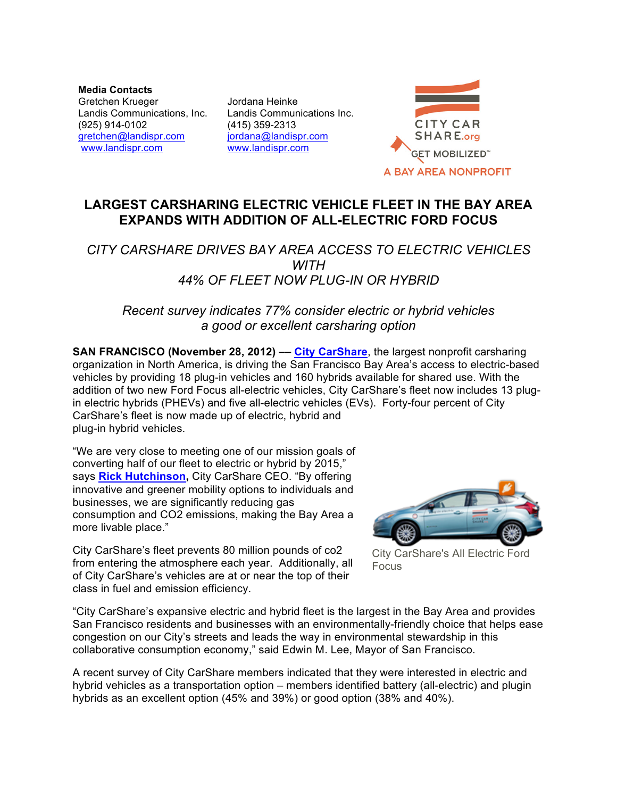**Media Contacts** Gretchen Krueger Landis Communications, Inc. (925) 914-0102 gretchen@landispr.com www.landispr.com

Jordana Heinke Landis Communications Inc. (415) 359-2313 jordana@landispr.com www.landispr.com



# **LARGEST CARSHARING ELECTRIC VEHICLE FLEET IN THE BAY AREA EXPANDS WITH ADDITION OF ALL-ELECTRIC FORD FOCUS**

## *CITY CARSHARE DRIVES BAY AREA ACCESS TO ELECTRIC VEHICLES WITH 44% OF FLEET NOW PLUG-IN OR HYBRID*

### *Recent survey indicates 77% consider electric or hybrid vehicles a good or excellent carsharing option*

**SAN FRANCISCO (November 28, 2012) –– City CarShare**, the largest nonprofit carsharing organization in North America, is driving the San Francisco Bay Area's access to electric-based vehicles by providing 18 plug-in vehicles and 160 hybrids available for shared use. With the addition of two new Ford Focus all-electric vehicles, City CarShare's fleet now includes 13 plugin electric hybrids (PHEVs) and five all-electric vehicles (EVs). Forty-four percent of City CarShare's fleet is now made up of electric, hybrid and plug-in hybrid vehicles.

"We are very close to meeting one of our mission goals of converting half of our fleet to electric or hybrid by 2015," says **Rick Hutchinson,** City CarShare CEO. "By offering innovative and greener mobility options to individuals and businesses, we are significantly reducing gas consumption and CO2 emissions, making the Bay Area a more livable place."



City CarShare's fleet prevents 80 million pounds of co2 from entering the atmosphere each year. Additionally, all of City CarShare's vehicles are at or near the top of their class in fuel and emission efficiency.

City CarShare's All Electric Ford Focus

"City CarShare's expansive electric and hybrid fleet is the largest in the Bay Area and provides San Francisco residents and businesses with an environmentally-friendly choice that helps ease congestion on our City's streets and leads the way in environmental stewardship in this collaborative consumption economy," said Edwin M. Lee, Mayor of San Francisco.

A recent survey of City CarShare members indicated that they were interested in electric and hybrid vehicles as a transportation option – members identified battery (all-electric) and plugin hybrids as an excellent option (45% and 39%) or good option (38% and 40%).